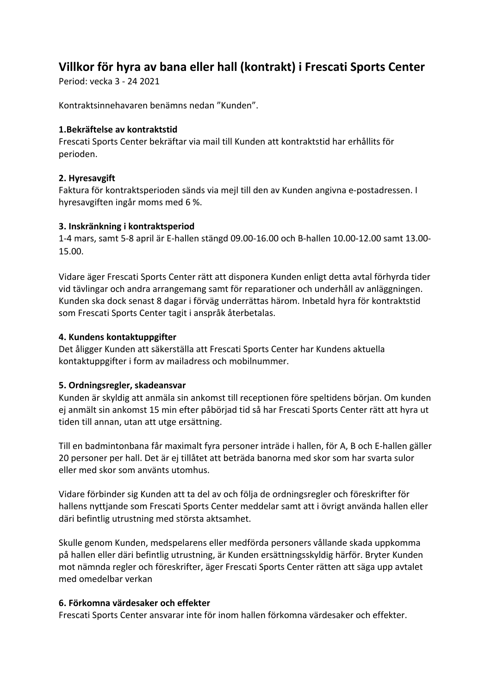# **Villkor för hyra av bana eller hall (kontrakt) i Frescati Sports Center**

Period: vecka 3 - 24 2021

Kontraktsinnehavaren benämns nedan "Kunden".

#### **1.Bekräftelse av kontraktstid**

Frescati Sports Center bekräftar via mail till Kunden att kontraktstid har erhållits för perioden.

## **2. Hyresavgift**

Faktura för kontraktsperioden sänds via mejl till den av Kunden angivna e-postadressen. I hyresavgiften ingår moms med 6 %.

#### **3. Inskränkning i kontraktsperiod**

1-4 mars, samt 5-8 april är E-hallen stängd 09.00-16.00 och B-hallen 10.00-12.00 samt 13.00- 15.00.

Vidare äger Frescati Sports Center rätt att disponera Kunden enligt detta avtal förhyrda tider vid tävlingar och andra arrangemang samt för reparationer och underhåll av anläggningen. Kunden ska dock senast 8 dagar i förväg underrättas härom. Inbetald hyra för kontraktstid som Frescati Sports Center tagit i anspråk återbetalas.

#### **4. Kundens kontaktuppgifter**

Det åligger Kunden att säkerställa att Frescati Sports Center har Kundens aktuella kontaktuppgifter i form av mailadress och mobilnummer.

## **5. Ordningsregler, skadeansvar**

Kunden är skyldig att anmäla sin ankomst till receptionen före speltidens början. Om kunden ej anmält sin ankomst 15 min efter påbörjad tid så har Frescati Sports Center rätt att hyra ut tiden till annan, utan att utge ersättning.

Till en badmintonbana får maximalt fyra personer inträde i hallen, för A, B och E-hallen gäller 20 personer per hall. Det är ej tillåtet att beträda banorna med skor som har svarta sulor eller med skor som använts utomhus.

Vidare förbinder sig Kunden att ta del av och följa de ordningsregler och föreskrifter för hallens nyttjande som Frescati Sports Center meddelar samt att i övrigt använda hallen eller däri befintlig utrustning med största aktsamhet.

Skulle genom Kunden, medspelarens eller medförda personers vållande skada uppkomma på hallen eller däri befintlig utrustning, är Kunden ersättningsskyldig härför. Bryter Kunden mot nämnda regler och föreskrifter, äger Frescati Sports Center rätten att säga upp avtalet med omedelbar verkan

#### **6. Förkomna värdesaker och effekter**

Frescati Sports Center ansvarar inte för inom hallen förkomna värdesaker och effekter.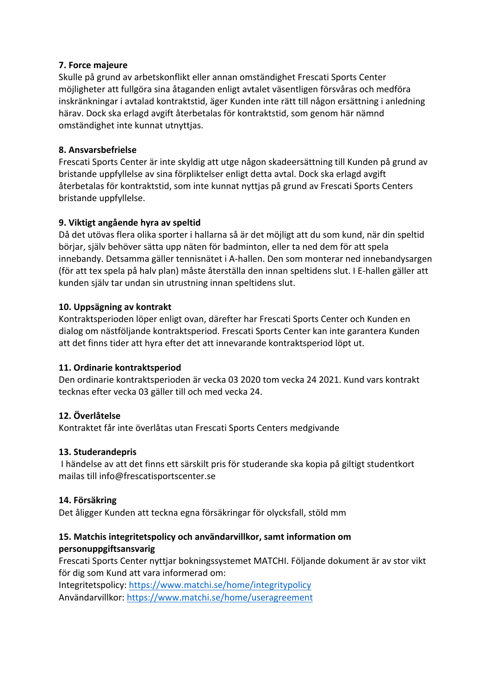## **7. Force majeure**

Skulle på grund av arbetskonflikt eller annan omständighet Frescati Sports Center möjligheter att fullgöra sina åtaganden enligt avtalet väsentligen försvåras och medföra inskränkningar i avtalad kontraktstid, äger Kunden inte rätt till någon ersättning i anledning härav. Dock ska erlagd avgift återbetalas för kontraktstid, som genom här nämnd omständighet inte kunnat utnyttjas.

## **8. Ansvarsbefrielse**

Frescati Sports Center är inte skyldig att utge någon skadeersättning till Kunden på grund av bristande uppfyllelse av sina förpliktelser enligt detta avtal. Dock ska erlagd avgift återbetalas för kontraktstid, som inte kunnat nyttjas på grund av Frescati Sports Centers bristande uppfyllelse.

## **9. Viktigt angående hyra av speltid**

Då det utövas flera olika sporter i hallarna så är det möjligt att du som kund, när din speltid börjar, själv behöver sätta upp näten för badminton, eller ta ned dem för att spela innebandy. Detsamma gäller tennisnätet i A-hallen. Den som monterar ned innebandysargen (för att tex spela på halv plan) måste återställa den innan speltidens slut. I E-hallen gäller att kunden själv tar undan sin utrustning innan speltidens slut.

## **10. Uppsägning av kontrakt**

Kontraktsperioden löper enligt ovan, därefter har Frescati Sports Center och Kunden en dialog om nästföljande kontraktsperiod. Frescati Sports Center kan inte garantera Kunden att det finns tider att hyra efter det att innevarande kontraktsperiod löpt ut.

## **11. Ordinarie kontraktsperiod**

Den ordinarie kontraktsperioden är vecka 03 2020 tom vecka 24 2021. Kund vars kontrakt tecknas efter vecka 03 gäller till och med vecka 24.

# **12. Överlåtelse**

Kontraktet får inte överlåtas utan Frescati Sports Centers medgivande

## **13. Studerandepris**

I händelse av att det finns ett särskilt pris för studerande ska kopia på giltigt studentkort mailas till info@frescatisportscenter.se

## **14. Försäkring**

Det åligger Kunden att teckna egna försäkringar för olycksfall, stöld mm

# **15. Matchis integritetspolicy och användarvillkor, samt information om personuppgiftsansvarig**

Frescati Sports Center nyttjar bokningssystemet MATCHI. Följande dokument är av stor vikt för dig som Kund att vara informerad om:

Integritetspolicy: https://www.matchi.se/home/integritypolicy

Användarvillkor: https://www.matchi.se/home/useragreement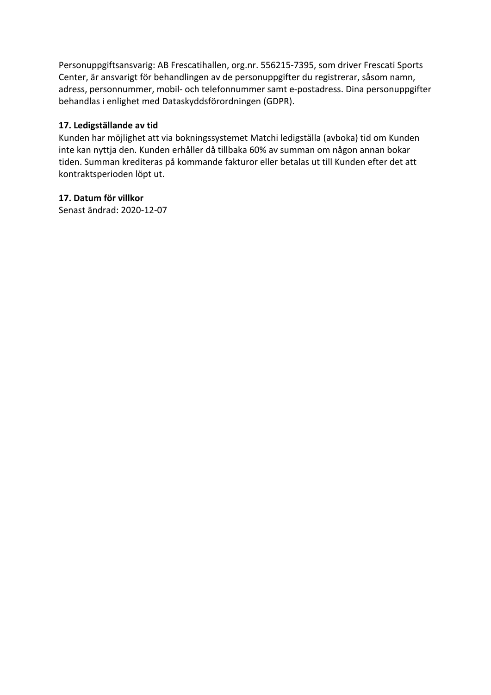Personuppgiftsansvarig: AB Frescatihallen, org.nr. 556215-7395, som driver Frescati Sports Center, är ansvarigt för behandlingen av de personuppgifter du registrerar, såsom namn, adress, personnummer, mobil- och telefonnummer samt e-postadress. Dina personuppgifter behandlas i enlighet med Dataskyddsförordningen (GDPR).

## **17. Ledigställande av tid**

Kunden har möjlighet att via bokningssystemet Matchi ledigställa (avboka) tid om Kunden inte kan nyttja den. Kunden erhåller då tillbaka 60% av summan om någon annan bokar tiden. Summan krediteras på kommande fakturor eller betalas ut till Kunden efter det att kontraktsperioden löpt ut.

## **17. Datum för villkor**

Senast ändrad: 2020-12-07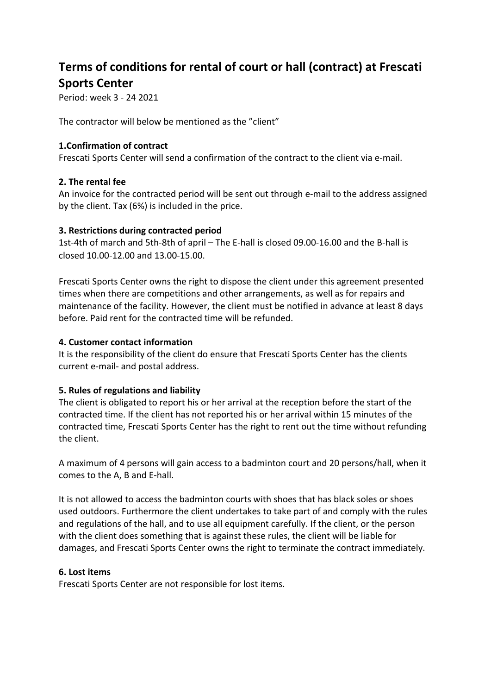# **Terms of conditions for rental of court or hall (contract) at Frescati Sports Center**

Period: week 3 - 24 2021

The contractor will below be mentioned as the "client"

#### **1.Confirmation of contract**

Frescati Sports Center will send a confirmation of the contract to the client via e-mail.

#### **2. The rental fee**

An invoice for the contracted period will be sent out through e-mail to the address assigned by the client. Tax (6%) is included in the price.

#### **3. Restrictions during contracted period**

1st-4th of march and 5th-8th of april – The E-hall is closed 09.00-16.00 and the B-hall is closed 10.00-12.00 and 13.00-15.00.

Frescati Sports Center owns the right to dispose the client under this agreement presented times when there are competitions and other arrangements, as well as for repairs and maintenance of the facility. However, the client must be notified in advance at least 8 days before. Paid rent for the contracted time will be refunded.

#### **4. Customer contact information**

It is the responsibility of the client do ensure that Frescati Sports Center has the clients current e-mail- and postal address.

## **5. Rules of regulations and liability**

The client is obligated to report his or her arrival at the reception before the start of the contracted time. If the client has not reported his or her arrival within 15 minutes of the contracted time, Frescati Sports Center has the right to rent out the time without refunding the client.

A maximum of 4 persons will gain access to a badminton court and 20 persons/hall, when it comes to the A, B and E-hall.

It is not allowed to access the badminton courts with shoes that has black soles or shoes used outdoors. Furthermore the client undertakes to take part of and comply with the rules and regulations of the hall, and to use all equipment carefully. If the client, or the person with the client does something that is against these rules, the client will be liable for damages, and Frescati Sports Center owns the right to terminate the contract immediately.

#### **6. Lost items**

Frescati Sports Center are not responsible for lost items.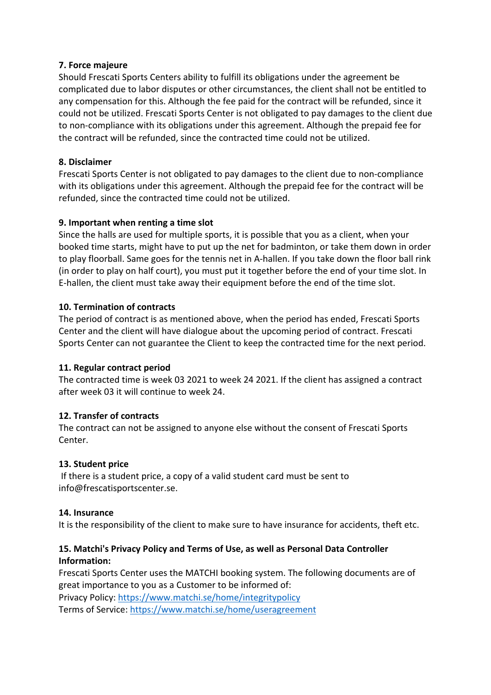#### **7. Force majeure**

Should Frescati Sports Centers ability to fulfill its obligations under the agreement be complicated due to labor disputes or other circumstances, the client shall not be entitled to any compensation for this. Although the fee paid for the contract will be refunded, since it could not be utilized. Frescati Sports Center is not obligated to pay damages to the client due to non-compliance with its obligations under this agreement. Although the prepaid fee for the contract will be refunded, since the contracted time could not be utilized.

## **8. Disclaimer**

Frescati Sports Center is not obligated to pay damages to the client due to non-compliance with its obligations under this agreement. Although the prepaid fee for the contract will be refunded, since the contracted time could not be utilized.

## **9. Important when renting a time slot**

Since the halls are used for multiple sports, it is possible that you as a client, when your booked time starts, might have to put up the net for badminton, or take them down in order to play floorball. Same goes for the tennis net in A-hallen. If you take down the floor ball rink (in order to play on half court), you must put it together before the end of your time slot. In E-hallen, the client must take away their equipment before the end of the time slot.

#### **10. Termination of contracts**

The period of contract is as mentioned above, when the period has ended, Frescati Sports Center and the client will have dialogue about the upcoming period of contract. Frescati Sports Center can not guarantee the Client to keep the contracted time for the next period.

## **11. Regular contract period**

The contracted time is week 03 2021 to week 24 2021. If the client has assigned a contract after week 03 it will continue to week 24.

## **12. Transfer of contracts**

The contract can not be assigned to anyone else without the consent of Frescati Sports Center.

## **13. Student price**

If there is a student price, a copy of a valid student card must be sent to info@frescatisportscenter.se.

#### **14. Insurance**

It is the responsibility of the client to make sure to have insurance for accidents, theft etc.

# **15. Matchi's Privacy Policy and Terms of Use, as well as Personal Data Controller Information:**

Frescati Sports Center uses the MATCHI booking system. The following documents are of great importance to you as a Customer to be informed of:

Privacy Policy: https://www.matchi.se/home/integritypolicy Terms of Service: https://www.matchi.se/home/useragreement